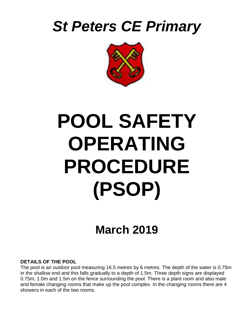



# **POOL SAFETY OPERATING PROCEDURE (PSOP)**

# **March 2019**

#### **DETAILS OF THE POOL**

The pool is an outdoor pool measuring 16.5 metres by 6 metres. The depth of the water is 0.75m in the shallow end and this falls gradually to a depth of 1.5m. Three depth signs are displayed 0.75m, 1.0m and 1.5m on the fence surrounding the pool. There is a plant room and also male and female changing rooms that make up the pool complex. In the changing rooms there are 4 showers in each of the two rooms.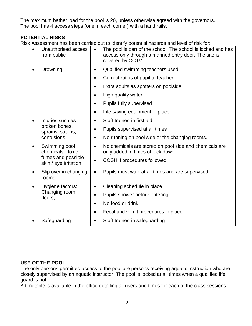The maximum bather load for the pool is 20, unless otherwise agreed with the governors. The pool has 4 access steps (one in each corner) with a hand rails.

# **POTENTIAL RISKS**

Risk Assessment has been carried out to identify potential hazards and level of risk for:

| Unauthorised access<br>from public                                                | The pool is part of the school. The school is locked and has<br>$\bullet$<br>access only through a manned entry door. The site is<br>covered by CCTV. |
|-----------------------------------------------------------------------------------|-------------------------------------------------------------------------------------------------------------------------------------------------------|
| Drowning                                                                          | Qualified swimming teachers used<br>$\bullet$                                                                                                         |
|                                                                                   | Correct ratios of pupil to teacher<br>$\bullet$                                                                                                       |
|                                                                                   | Extra adults as spotters on poolside<br>$\bullet$                                                                                                     |
|                                                                                   | High quality water<br>$\bullet$                                                                                                                       |
|                                                                                   | Pupils fully supervised                                                                                                                               |
|                                                                                   | Life saving equipment in place<br>$\bullet$                                                                                                           |
| Injuries such as<br>broken bones,<br>sprains, strains,<br>contusions              | Staff trained in first aid<br>$\bullet$                                                                                                               |
|                                                                                   | Pupils supervised at all times<br>$\bullet$                                                                                                           |
|                                                                                   | No running on pool side or the changing rooms.<br>$\bullet$                                                                                           |
| Swimming pool<br>chemicals - toxic<br>fumes and possible<br>skin / eye irritation | No chemicals are stored on pool side and chemicals are<br>$\bullet$<br>only added in times of lock down.                                              |
|                                                                                   | <b>COSHH</b> procedures followed<br>$\bullet$                                                                                                         |
| Slip over in changing<br>rooms                                                    | Pupils must walk at all times and are supervised<br>$\bullet$                                                                                         |
| Hygiene factors:<br>Changing room<br>floors,                                      | Cleaning schedule in place<br>$\bullet$                                                                                                               |
|                                                                                   | Pupils shower before entering                                                                                                                         |
|                                                                                   | No food or drink<br>$\bullet$                                                                                                                         |
|                                                                                   | Fecal and vomit procedures in place                                                                                                                   |
| Safeguarding                                                                      | Staff trained in safeguarding<br>$\bullet$                                                                                                            |

#### **USE OF THE POOL**

The only persons permitted access to the pool are persons receiving aquatic instruction who are closely supervised by an aquatic instructor. The pool is locked at all times when a qualified life guard is not

A timetable is available in the office detailing all users and times for each of the class sessions.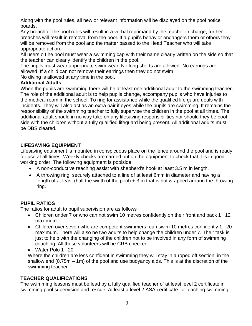Along with the pool rules, all new or relevant information will be displayed on the pool notice boards.

Any breach of the pool rules will result in a verbal reprimand by the teacher in charge; further breaches will result in removal from the pool. If a pupil's behavior endangers them or others they will be removed from the pool and the matter passed to the Head Teacher who will take appropriate action.

All users o f he pool must wear a swimming cap with their name clearly written on the side so that the teacher can clearly identify the children in the pool.

The pupils must wear appropriate swim wear. No long shorts are allowed. No earrings are allowed. If a child can not remove their earrings then they do not swim

No diving is allowed at any time in the pool.

## **Additional Adults**

.

When the pupils are swimming there will be at least one additional adult to the swimming teacher. The role of the additional adult is to help pupils change, accompany pupils who have injuries to the medical room in the school. To ring for assistance while the qualified life guard deals with incidents. They will also act as an extra pair if eyes while the pupils are swimming. It remains the responsibility of the swimming teacher to fully supervise the children in the pool at all times. The additional adult should in no way take on any lifesaving responsibilities nor should they be pool side with the children without a fully qualified lifeguard being present. All additional adults must be DBS cleared.

# **LIFESAVING EQUIPMENT**

Lifesaving equipment is mounted in conspicuous place on the fence around the pool and is ready for use at all times. Weekly checks are carried out on the equipment to check that it is in good working order. The following equipment is poolside

- A non-conductive reaching assist with shepherd's hook at least 3.5 m in length.
- A throwing ring, securely attached to a line of at least 6mm in diameter and having a length of at least (half the width of the pool)  $+3$  m that is not wrapped around the throwing ring.

# **PUPIL RATIOS**

The ratios for adult to pupil supervision are as follows

- Children under 7 or who can not swim 10 metres confidently on their front and back 1 : 12 maximum.
- Children over seven who are competent swimmers- can swim 10 metres confidently 1 : 20 maximum. There will also be two adults to help change the children under 7. Their task is just to help with the changing of the children not to be involved in any form of swimming coaching. All these volunteers will be CRB checked.

• Water Polo 1:20

Where the children are less confident in swimming they will stay in a roped off section, in the shallow end (0.75m – 1m) of the pool and use buoyancy aids. This is at the discretion of the swimming teacher

# **TEACHER QUALIFICATIONS**

The swimming lessons must be lead by a fully qualified teacher of at least level 2 certificate in swimming pool supervision and rescue. At least a level 2 ASA certificate for teaching swimming.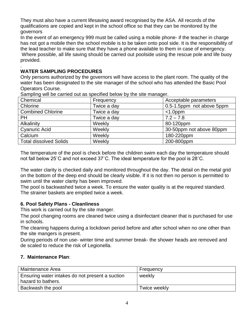They must also have a current lifesaving award recognised by the ASA. All records of the qualifications are copied and kept in the school office so that they can be monitored by the governors

In the event of an emergency 999 must be called using a mobile phone- if the teacher in charge has not got a mobile then the school mobile is to be taken onto pool side. It is the responsibility of the lead teacher to make sure that they have a phone available to them in case of emergency. Where possible, all life saving should be carried out poolside using the rescue pole and life buoy provided.

#### . **WATER SAMPLING PROCEDURES**

Only persons authorized by the governors will have access to the plant room. The quality of the water has been designated to the site manager of the school who has attended the Basic Pool Operators Course.

| Camping will be carried out as opeenfou bolow by the olter manager. |             |                           |  |  |
|---------------------------------------------------------------------|-------------|---------------------------|--|--|
| Chemical                                                            | Frequency   | Acceptable parameters     |  |  |
| Chlorine                                                            | Twice a day | 0.5-1.5ppm not above 5ppm |  |  |
| <b>Combined Chlorine</b>                                            | Twice a day | $<$ 1.0ppm                |  |  |
| <b>PH</b>                                                           | Twice a day | $7.2 - 7.8$               |  |  |
| Alkalinity                                                          | Weekly      | 80-120ppm                 |  |  |
| <b>Cyanuric Acid</b>                                                | Weekly      | 30-50ppm not above 80ppm  |  |  |
| Calcium                                                             | Weekly      | 180-220ppm                |  |  |
| <b>Total dissolved Solids</b>                                       | Weekly      | 200-800ppm                |  |  |

Sampling will be carried out as specified below by the site manager.

The temperature of the pool is check before the children swim each day the temperature should not fall below 25˚C and not exceed 37˚C. The ideal temperature for the pool is 28˚C.

The water clarity is checked daily and monitored throughout the day. The detail on the metal grid on the bottom of the deep end should be clearly visible. If it is not then no person is permitted to swim until the water clarity has been improved.

The pool is backwashed twice a week. To ensure the water quality is at the required standard. The strainer baskets are emptied twice a week.

#### **6. Pool Safety Plans - Cleanliness**

This work is carried out by the site manger.

The pool changing rooms are cleaned twice using a disinfectant cleaner that is purchased for use in schools.

The cleaning happens during a lockdown period before and after school when no one other than the site mangers is present.

During periods of non use- winter time and summer break- the shower heads are removed and de scaled to reduce the risk of Legionella.

#### **7. Maintenance Plan**:

| Maintenance Area                                                      | Frequency    |
|-----------------------------------------------------------------------|--------------|
| Ensuring water intakes do not present a suction<br>hazard to bathers. | weekly       |
| Backwash the pool                                                     | Twice weekly |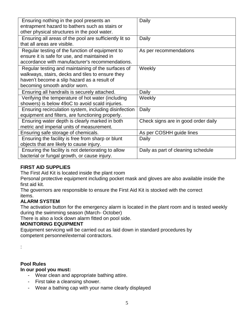| Ensuring nothing in the pool presents an               | Daily                               |
|--------------------------------------------------------|-------------------------------------|
| entrapment hazard to bathers such as stairs or         |                                     |
| other physical structures in the pool water.           |                                     |
| Ensuring all areas of the pool are sufficiently lit so | Daily                               |
| that all areas are visible.                            |                                     |
| Regular testing of the function of equipment to        | As per recommendations              |
| ensure it is safe for use, and maintained in           |                                     |
| accordance with manufacturer's recommendations.        |                                     |
| Regular testing and maintaining of the surfaces of     | Weekly                              |
| walkways, stairs, decks and tiles to ensure they       |                                     |
| haven't become a slip hazard as a result of            |                                     |
| becoming smooth and/or worn.                           |                                     |
| Ensuring all handrails is securely attached.           | Daily                               |
| Verifying the temperature of hot water (including      | Weekly                              |
| showers) is below 49oC to avoid scald injuries.        |                                     |
| Ensuring recirculation system, including disinfection  | Daily                               |
| equipment and filters, are functioning properly.       |                                     |
| Ensuring water depth is clearly marked in both         | Check signs are in good order daily |
| metric and imperial units of measurement.              |                                     |
| Ensuring safe storage of chemicals.                    | As per COSHH guide lines            |
| Ensuring the facility is free from sharp or blunt      | Daily                               |
| objects that are likely to cause injury.               |                                     |
| Ensuring the facility is not deteriorating to allow    | Daily as part of cleaning schedule  |
| bacterial or fungal growth, or cause injury.           |                                     |

# **FIRST AID SUPPLIES**

The First Aid Kit is located inside the plant room

Personal protective equipment including pocket mask and gloves are also available inside the first aid kit.

The governors are responsible to ensure the First Aid Kit is stocked with the correct items.

# **ALARM SYSTEM**

The activation button for the emergency alarm is located in the plant room and is tested weekly during the swimming season (March- October)

There is also a lock down alarm fitted on pool side.

#### **MONITORING EQUIPMENT**

Equipment servicing will be carried out as laid down in standard procedures by competent personnel/external contractors.

:

# **Pool Rules**

# **In our pool you must:**

- Wear clean and appropriate bathing attire.
- First take a cleansing shower.
- Wear a bathing cap with your name clearly displayed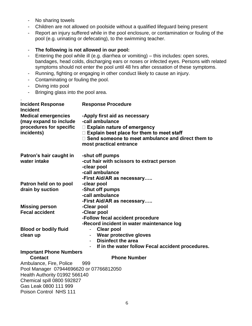- No sharing towels
- Children are not allowed on poolside without a qualified lifeguard being present
- Report an injury suffered while in the pool enclosure, or contamination or fouling of the pool (e.g. urinating or defecating), to the swimming teacher.

#### - **The following is not allowed in our pool:**

- Entering the pool while ill (e.g. diarrhea or vomiting) this includes: open sores, bandages, head colds, discharging ears or noses or infected eyes. Persons with related symptoms should not enter the pool until 48 hrs after cessation of these symptoms.
- Running, fighting or engaging in other conduct likely to cause an injury.
- Contaminating or fouling the pool.
- Diving into pool
- Bringing glass into the pool area.

| <b>Incident Response</b><br><b>Incident</b> | <b>Response Procedure</b>                                |  |  |
|---------------------------------------------|----------------------------------------------------------|--|--|
| <b>Medical emergencies</b>                  | -Apply first aid as necessary                            |  |  |
| (may expand to include                      | -call ambulance                                          |  |  |
| procedures for specific                     | $\Box$ Explain nature of emergency                       |  |  |
| incidents)                                  | $\Box$ Explain best place for them to meet staff         |  |  |
|                                             | $\Box$ Send someone to meet ambulance and direct them to |  |  |
|                                             | most practical entrance                                  |  |  |
| Patron's hair caught in                     | -shut off pumps                                          |  |  |
| water intake                                | -cut hair with scissors to extract person                |  |  |
|                                             | -clear pool                                              |  |  |
|                                             | -call ambulance                                          |  |  |
|                                             | -First Aid/AR as necessary                               |  |  |
| Patron held on to pool                      | -clear pool                                              |  |  |
| drain by suction                            | -Shut off pumps                                          |  |  |
|                                             | -call ambulance                                          |  |  |
|                                             | -First Aid/AR as necessary                               |  |  |
| <b>Missing person</b>                       | -Clear pool                                              |  |  |
| <b>Fecal accident</b>                       | -Clear pool                                              |  |  |
|                                             | -Follow fecal accident procedure                         |  |  |
|                                             | -Record incident in water maintenance log                |  |  |
| <b>Blood or bodily fluid</b>                | <b>Clear pool</b>                                        |  |  |
| clean up                                    | Wear protective gloves<br><b>Disinfect the area</b>      |  |  |
|                                             | If in the water follow Fecal accident procedures.        |  |  |
| <b>Important Phone Numbers</b>              |                                                          |  |  |
| Contact                                     | <b>Phone Number</b>                                      |  |  |
| Ambulance, Fire, Police                     | 999                                                      |  |  |
| Pool Manager 07944696620 or 07766812050     |                                                          |  |  |
| Health Authority 01992 566140               |                                                          |  |  |
| Chemical spill 0800 592827                  |                                                          |  |  |
| Gas Leak 0800 111 999                       |                                                          |  |  |
| Poison Control NHS 111                      |                                                          |  |  |
|                                             |                                                          |  |  |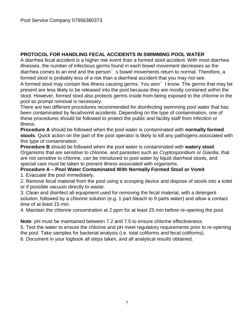# **PROTOCOL FOR HANDLING FECAL ACCIDENTS IN SWIMMING POOL WATER**

A diarrhea fecal accident is a higher risk event than a formed stool accident. With most diarrhea illnesses, the number of infectious germs found in each bowel movement decreases as the diarrhea comes to an end and the person's bowel movements return to normal. Therefore, a formed stool is probably less of a risk than a diarrheal accident that you may not see.

A formed stool may contain few illness causing germs. You won't know. The germs that may be present are less likely to be released into the pool because they are mostly contained within the stool. However, formed stool also protects germs inside from being exposed to the chlorine in the pool so prompt removal is necessary.

There are two different procedures recommended for disinfecting swimming pool water that has been contaminated by fecal/vomit accidents. Depending on the type of contamination, one of these procedures should be followed to protect the public and facility staff from infection or illness.

**Procedure A** should be followed when the pool water is contaminated with **normally formed stools**. Quick action on the part of the pool operator is likely to kill any pathogens associated with this type of contamination.

**Procedure B** should be followed when the pool water is contaminated with **watery stool**. Organisms that are sensitive to chlorine, and parasites such as *Cryptosporidium* or *Giardia*, that are not sensitive to chlorine, can be introduced to pool water by liquid diarrheal stools, and special care must be taken to prevent illness associated with organisms.

#### **Procedure A – Pool Water Contaminated With Normally Formed Stool or Vomit**

1. Evacuate the pool immediately.

2. Remove fecal material from the pool using a scooping device and dispose of stools into a toilet or if possible vacuum directly to waste.

3. Clean and disinfect all equipment used for removing the fecal material, with a detergent solution, followed by a chlorine solution (e.g. 1 part bleach to 9 parts water) and allow a contact time of at least 15 min.

4. Maintain the chlorine concentration at 2 ppm for at least 25 min before re-opening the pool.

**Note**: pH must be maintained between 7.2 and 7.5 to ensure chlorine effectiveness.

5. Test the water to ensure the chlorine and pH meet regulatory requirements prior to re-opening the pool. Take samples for bacterial analysis (i.e. total coliforms and fecal coliforms).

6. Document in your logbook all steps taken, and all analytical results obtained.